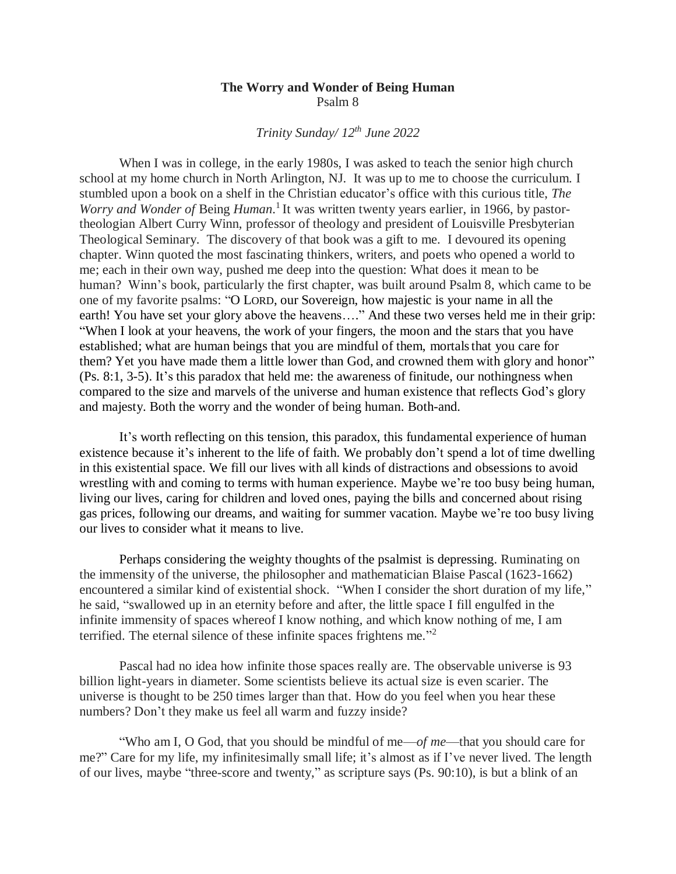## **The Worry and Wonder of Being Human** Psalm 8

## *Trinity Sunday/ 12th June 2022*

When I was in college, in the early 1980s, I was asked to teach the senior high church school at my home church in North Arlington, NJ. It was up to me to choose the curriculum. I stumbled upon a book on a shelf in the Christian educator's office with this curious title, *The*  Worry and Wonder of Being *Human*.<sup>1</sup> It was written twenty years earlier, in 1966, by pastortheologian Albert Curry Winn, professor of theology and president of Louisville Presbyterian Theological Seminary. The discovery of that book was a gift to me. I devoured its opening chapter. Winn quoted the most fascinating thinkers, writers, and poets who opened a world to me; each in their own way, pushed me deep into the question: What does it mean to be human? Winn's book, particularly the first chapter, was built around Psalm 8, which came to be one of my favorite psalms: "O LORD, our Sovereign, how majestic is your name in all the earth! You have set your glory above the heavens...." And these two verses held me in their grip: "When I look at your heavens, the work of your fingers, the moon and the stars that you have established; what are human beings that you are mindful of them, mortals that you care for them? Yet you have made them a little lower than God, and crowned them with glory and honor" (Ps. 8:1, 3-5). It's this paradox that held me: the awareness of finitude, our nothingness when compared to the size and marvels of the universe and human existence that reflects God's glory and majesty. Both the worry and the wonder of being human. Both-and.

It's worth reflecting on this tension, this paradox, this fundamental experience of human existence because it's inherent to the life of faith. We probably don't spend a lot of time dwelling in this existential space. We fill our lives with all kinds of distractions and obsessions to avoid wrestling with and coming to terms with human experience. Maybe we're too busy being human, living our lives, caring for children and loved ones, paying the bills and concerned about rising gas prices, following our dreams, and waiting for summer vacation. Maybe we're too busy living our lives to consider what it means to live.

Perhaps considering the weighty thoughts of the psalmist is depressing. Ruminating on the immensity of the universe, the philosopher and mathematician Blaise Pascal (1623-1662) encountered a similar kind of existential shock. "When I consider the short duration of my life," he said, "swallowed up in an eternity before and after, the little space I fill engulfed in the infinite immensity of spaces whereof I know nothing, and which know nothing of me, I am terrified. The eternal silence of these infinite spaces frightens me."<sup>2</sup>

Pascal had no idea how infinite those spaces really are. The observable universe is 93 billion light-years in diameter. Some scientists believe its actual size is even scarier. The universe is thought to be 250 times larger than that. How do you feel when you hear these numbers? Don't they make us feel all warm and fuzzy inside?

"Who am I, O God, that you should be mindful of me—*of me*—that you should care for me?" Care for my life, my infinitesimally small life; it's almost as if I've never lived. The length of our lives, maybe "three-score and twenty," as scripture says (Ps. 90:10), is but a blink of an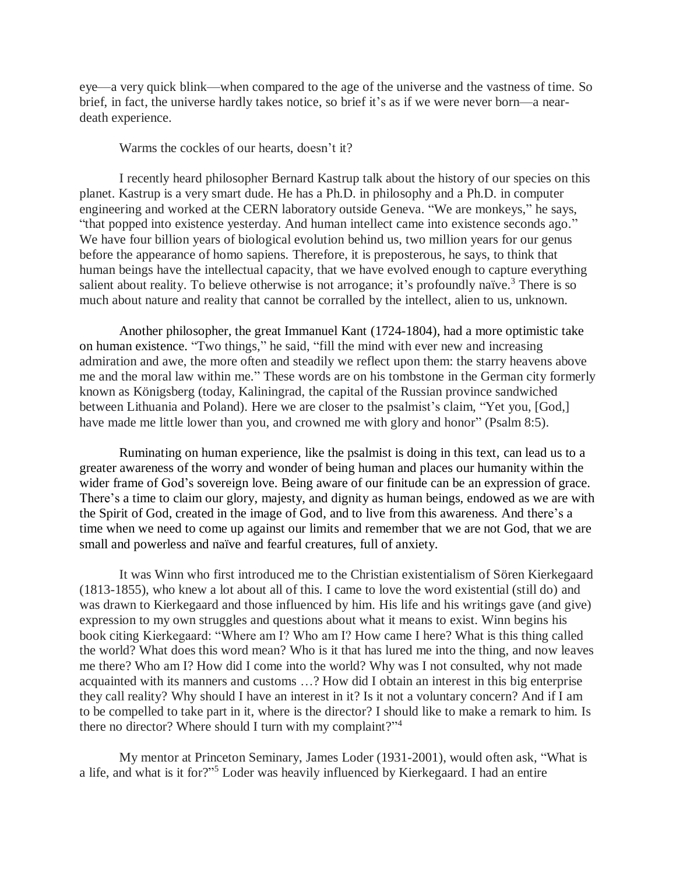eye—a very quick blink—when compared to the age of the universe and the vastness of time. So brief, in fact, the universe hardly takes notice, so brief it's as if we were never born—a neardeath experience.

Warms the cockles of our hearts, doesn't it?

I recently heard philosopher Bernard Kastrup talk about the history of our species on this planet. Kastrup is a very smart dude. He has a Ph.D. in philosophy and a Ph.D. in computer engineering and worked at the CERN laboratory outside Geneva. "We are monkeys," he says, "that popped into existence yesterday. And human intellect came into existence seconds ago." We have four billion years of biological evolution behind us, two million years for our genus before the appearance of homo sapiens. Therefore, it is preposterous, he says, to think that human beings have the intellectual capacity, that we have evolved enough to capture everything salient about reality. To believe otherwise is not arrogance; it's profoundly naïve.<sup>3</sup> There is so much about nature and reality that cannot be corralled by the intellect, alien to us, unknown.

Another philosopher, the great Immanuel Kant (1724-1804), had a more optimistic take on human existence. "Two things," he said, "fill the mind with ever new and increasing admiration and awe, the more often and steadily we reflect upon them: the starry heavens above me and the moral law within me." These words are on his tombstone in the German city formerly known as Königsberg (today, Kaliningrad, the capital of the Russian province sandwiched between Lithuania and Poland). Here we are closer to the psalmist's claim, "Yet you, [God,] have made me little lower than you, and crowned me with glory and honor" (Psalm 8:5).

Ruminating on human experience, like the psalmist is doing in this text, can lead us to a greater awareness of the worry and wonder of being human and places our humanity within the wider frame of God's sovereign love. Being aware of our finitude can be an expression of grace. There's a time to claim our glory, majesty, and dignity as human beings, endowed as we are with the Spirit of God, created in the image of God, and to live from this awareness. And there's a time when we need to come up against our limits and remember that we are not God, that we are small and powerless and naïve and fearful creatures, full of anxiety.

It was Winn who first introduced me to the Christian existentialism of Sören Kierkegaard (1813-1855), who knew a lot about all of this. I came to love the word existential (still do) and was drawn to Kierkegaard and those influenced by him. His life and his writings gave (and give) expression to my own struggles and questions about what it means to exist. Winn begins his book citing Kierkegaard: "Where am I? Who am I? How came I here? What is this thing called the world? What does this word mean? Who is it that has lured me into the thing, and now leaves me there? Who am I? How did I come into the world? Why was I not consulted, why not made acquainted with its manners and customs …? How did I obtain an interest in this big enterprise they call reality? Why should I have an interest in it? Is it not a voluntary concern? And if I am to be compelled to take part in it, where is the director? I should like to make a remark to him. Is there no director? Where should I turn with my complaint?"<sup>4</sup>

My mentor at Princeton Seminary, James Loder (1931-2001), would often ask, "What is a life, and what is it for?" <sup>5</sup> Loder was heavily influenced by Kierkegaard. I had an entire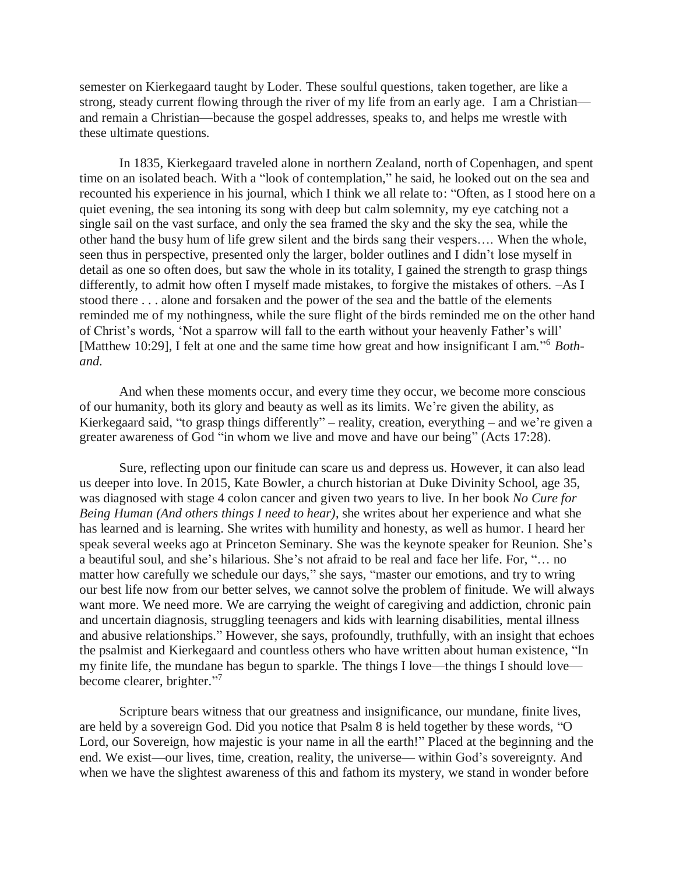semester on Kierkegaard taught by Loder. These soulful questions, taken together, are like a strong, steady current flowing through the river of my life from an early age. I am a Christian and remain a Christian—because the gospel addresses, speaks to, and helps me wrestle with these ultimate questions.

In 1835, Kierkegaard traveled alone in northern Zealand, north of Copenhagen, and spent time on an isolated beach. With a "look of contemplation," he said, he looked out on the sea and recounted his experience in his journal, which I think we all relate to: "Often, as I stood here on a quiet evening, the sea intoning its song with deep but calm solemnity, my eye catching not a single sail on the vast surface, and only the sea framed the sky and the sky the sea, while the other hand the busy hum of life grew silent and the birds sang their vespers…. When the whole, seen thus in perspective, presented only the larger, bolder outlines and I didn't lose myself in detail as one so often does, but saw the whole in its totality, I gained the strength to grasp things differently, to admit how often I myself made mistakes, to forgive the mistakes of others. –As I stood there . . . alone and forsaken and the power of the sea and the battle of the elements reminded me of my nothingness, while the sure flight of the birds reminded me on the other hand of Christ's words, 'Not a sparrow will fall to the earth without your heavenly Father's will' [Matthew 10:29], I felt at one and the same time how great and how insignificant I am."<sup>6</sup> Both*and.*

And when these moments occur, and every time they occur, we become more conscious of our humanity, both its glory and beauty as well as its limits. We're given the ability, as Kierkegaard said, "to grasp things differently" – reality, creation, everything – and we're given a greater awareness of God "in whom we live and move and have our being" (Acts 17:28).

Sure, reflecting upon our finitude can scare us and depress us. However, it can also lead us deeper into love. In 2015, Kate Bowler, a church historian at Duke Divinity School, age 35, was diagnosed with stage 4 colon cancer and given two years to live. In her book *No Cure for Being Human (And others things I need to hear)*, she writes about her experience and what she has learned and is learning. She writes with humility and honesty, as well as humor. I heard her speak several weeks ago at Princeton Seminary. She was the keynote speaker for Reunion. She's a beautiful soul, and she's hilarious. She's not afraid to be real and face her life. For, "… no matter how carefully we schedule our days," she says, "master our emotions, and try to wring our best life now from our better selves, we cannot solve the problem of finitude. We will always want more. We need more. We are carrying the weight of caregiving and addiction, chronic pain and uncertain diagnosis, struggling teenagers and kids with learning disabilities, mental illness and abusive relationships." However, she says, profoundly, truthfully, with an insight that echoes the psalmist and Kierkegaard and countless others who have written about human existence, "In my finite life, the mundane has begun to sparkle. The things I love—the things I should love become clearer, brighter."7

Scripture bears witness that our greatness and insignificance, our mundane, finite lives, are held by a sovereign God. Did you notice that Psalm 8 is held together by these words, "O Lord, our Sovereign, how majestic is your name in all the earth!" Placed at the beginning and the end. We exist—our lives, time, creation, reality, the universe— within God's sovereignty. And when we have the slightest awareness of this and fathom its mystery, we stand in wonder before